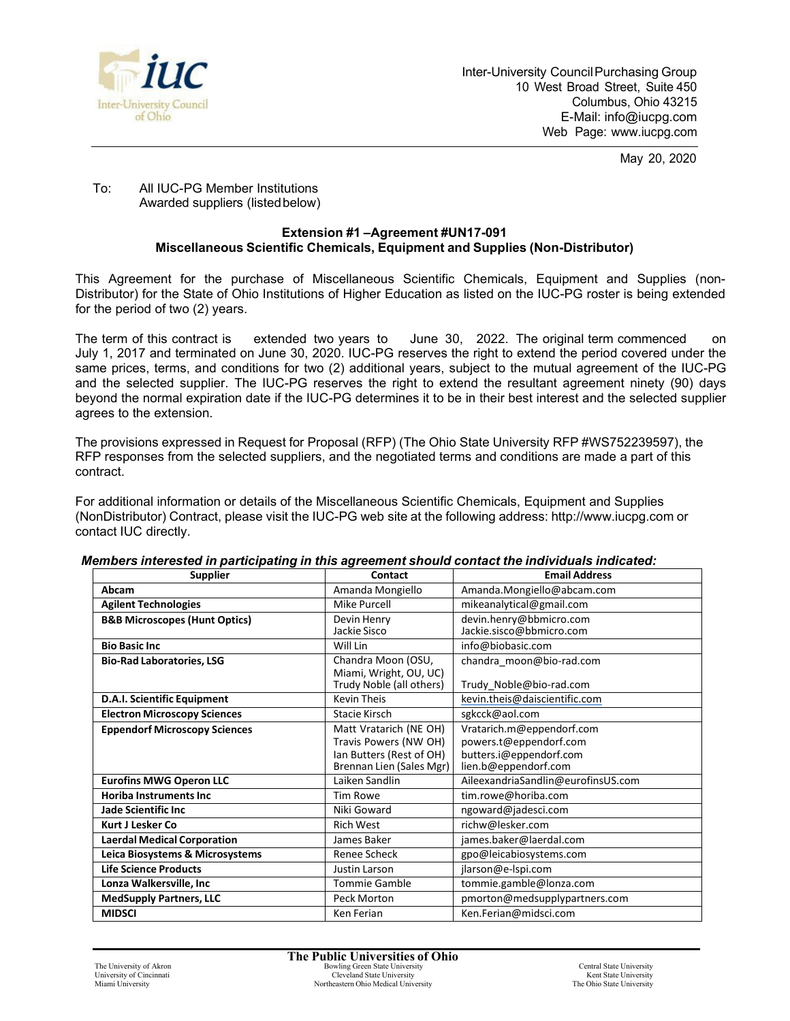

May 20, 2020

## To: All IUC-PG Member Institutions Awarded suppliers (listedbelow)

## **Extension #1 –Agreement #UN17-091 Miscellaneous Scientific Chemicals, Equipment and Supplies (Non-Distributor)**

This Agreement for the purchase of Miscellaneous Scientific Chemicals, Equipment and Supplies (non-Distributor) for the State of Ohio Institutions of Higher Education as listed on the IUC-PG roster is being extended for the period of two (2) years.

The term of this contract is extended two years to June 30, 2022. The original term commenced on July 1, 2017 and terminated on June 30, 2020. IUC-PG reserves the right to extend the period covered under the same prices, terms, and conditions for two (2) additional years, subject to the mutual agreement of the IUC-PG and the selected supplier. The IUC-PG reserves the right to extend the resultant agreement ninety (90) days beyond the normal expiration date if the IUC-PG determines it to be in their best interest and the selected supplier agrees to the extension.

The provisions expressed in Request for Proposal (RFP) (The Ohio State University RFP #WS752239597), the RFP responses from the selected suppliers, and the negotiated terms and conditions are made a part of this contract.

For additional information or details of the Miscellaneous Scientific Chemicals, Equipment and Supplies (NonDistributor) Contract, please visit the IUC-PG web site at the following address: [http://www.iucpg.com](http://www.iucpg.com/) or contact IUC directly.

| <b>Supplier</b>                          | Contact                  | <b>Email Address</b>               |
|------------------------------------------|--------------------------|------------------------------------|
| Abcam                                    | Amanda Mongiello         | Amanda.Mongiello@abcam.com         |
| <b>Agilent Technologies</b>              | Mike Purcell             | mikeanalytical@gmail.com           |
| <b>B&amp;B Microscopes (Hunt Optics)</b> | Devin Henry              | devin.henry@bbmicro.com            |
|                                          | Jackie Sisco             | Jackie.sisco@bbmicro.com           |
| <b>Bio Basic Inc.</b>                    | Will Lin                 | info@biobasic.com                  |
| <b>Bio-Rad Laboratories, LSG</b>         | Chandra Moon (OSU,       | chandra_moon@bio-rad.com           |
|                                          | Miami, Wright, OU, UC)   |                                    |
|                                          | Trudy Noble (all others) | Trudy_Noble@bio-rad.com            |
| D.A.I. Scientific Equipment              | <b>Kevin Theis</b>       | kevin.theis@daiscientific.com      |
| <b>Electron Microscopy Sciences</b>      | Stacie Kirsch            | sgkcck@aol.com                     |
| <b>Eppendorf Microscopy Sciences</b>     | Matt Vratarich (NE OH)   | Vratarich.m@eppendorf.com          |
|                                          | Travis Powers (NW OH)    | powers.t@eppendorf.com             |
|                                          | Ian Butters (Rest of OH) | butters.i@eppendorf.com            |
|                                          | Brennan Lien (Sales Mgr) | lien.b@eppendorf.com               |
| <b>Eurofins MWG Operon LLC</b>           | Laiken Sandlin           | AileexandriaSandlin@eurofinsUS.com |
| <b>Horiba Instruments Inc.</b>           | Tim Rowe                 | tim.rowe@horiba.com                |
| <b>Jade Scientific Inc</b>               | Niki Goward              | ngoward@jadesci.com                |
| <b>Kurt J Lesker Co</b>                  | <b>Rich West</b>         | richw@lesker.com                   |
| <b>Laerdal Medical Corporation</b>       | James Baker              | james.baker@laerdal.com            |
| Leica Biosystems & Microsystems          | <b>Renee Scheck</b>      | gpo@leicabiosystems.com            |
| <b>Life Science Products</b>             | Justin Larson            | jlarson@e-lspi.com                 |
| Lonza Walkersville, Inc                  | <b>Tommie Gamble</b>     | tommie.gamble@lonza.com            |
| <b>MedSupply Partners, LLC</b>           | Peck Morton              | pmorton@medsupplypartners.com      |
| <b>MIDSCI</b>                            | Ken Ferian               | Ken.Ferian@midsci.com              |

## *Members interested in participating in this agreement should contact the individuals indicated:*